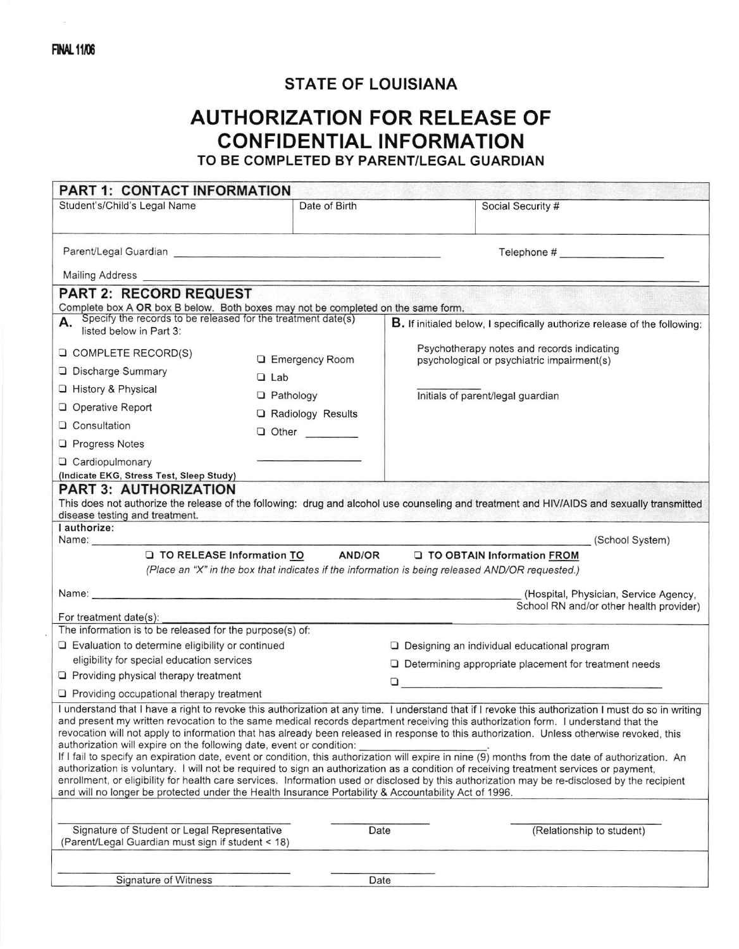$\tilde{\mathcal{U}}$ 

## STATE OF LOUISIANA

## AUTHORIZATION FOR RELEASE OF CONFIDENTIAL INFORMATION

TO BE COMPLETED BY PARENT/LEGAL GUARDIAN

| <b>PART 1: CONTACT INFORMATION</b>                                                                                                                                                                                                                                                                                                                                                                                                                                                                                                                                                                                                                                                                                                                                                                                                                                                                                                                                                                                                                                    |                         |                                                                                                 |                                         |
|-----------------------------------------------------------------------------------------------------------------------------------------------------------------------------------------------------------------------------------------------------------------------------------------------------------------------------------------------------------------------------------------------------------------------------------------------------------------------------------------------------------------------------------------------------------------------------------------------------------------------------------------------------------------------------------------------------------------------------------------------------------------------------------------------------------------------------------------------------------------------------------------------------------------------------------------------------------------------------------------------------------------------------------------------------------------------|-------------------------|-------------------------------------------------------------------------------------------------|-----------------------------------------|
| Student's/Child's Legal Name                                                                                                                                                                                                                                                                                                                                                                                                                                                                                                                                                                                                                                                                                                                                                                                                                                                                                                                                                                                                                                          | Date of Birth           | Social Security #                                                                               |                                         |
|                                                                                                                                                                                                                                                                                                                                                                                                                                                                                                                                                                                                                                                                                                                                                                                                                                                                                                                                                                                                                                                                       |                         |                                                                                                 |                                         |
|                                                                                                                                                                                                                                                                                                                                                                                                                                                                                                                                                                                                                                                                                                                                                                                                                                                                                                                                                                                                                                                                       |                         |                                                                                                 |                                         |
|                                                                                                                                                                                                                                                                                                                                                                                                                                                                                                                                                                                                                                                                                                                                                                                                                                                                                                                                                                                                                                                                       |                         |                                                                                                 |                                         |
| <b>PART 2: RECORD REQUEST</b>                                                                                                                                                                                                                                                                                                                                                                                                                                                                                                                                                                                                                                                                                                                                                                                                                                                                                                                                                                                                                                         |                         |                                                                                                 |                                         |
| Complete box A OR box B below. Both boxes may not be completed on the same form.                                                                                                                                                                                                                                                                                                                                                                                                                                                                                                                                                                                                                                                                                                                                                                                                                                                                                                                                                                                      |                         |                                                                                                 |                                         |
| Specify the records to be released for the treatment date(s)<br>listed below in Part 3:                                                                                                                                                                                                                                                                                                                                                                                                                                                                                                                                                                                                                                                                                                                                                                                                                                                                                                                                                                               |                         | B. If initialed below, I specifically authorize release of the following:                       |                                         |
| <b>Q COMPLETE RECORD(S)</b>                                                                                                                                                                                                                                                                                                                                                                                                                                                                                                                                                                                                                                                                                                                                                                                                                                                                                                                                                                                                                                           |                         | Psychotherapy notes and records indicating                                                      |                                         |
| Discharge Summary                                                                                                                                                                                                                                                                                                                                                                                                                                                                                                                                                                                                                                                                                                                                                                                                                                                                                                                                                                                                                                                     | <b>Q</b> Emergency Room | psychological or psychiatric impairment(s)                                                      |                                         |
| □ History & Physical                                                                                                                                                                                                                                                                                                                                                                                                                                                                                                                                                                                                                                                                                                                                                                                                                                                                                                                                                                                                                                                  | $\Box$ Lab              |                                                                                                 |                                         |
| O Operative Report                                                                                                                                                                                                                                                                                                                                                                                                                                                                                                                                                                                                                                                                                                                                                                                                                                                                                                                                                                                                                                                    | <b>Q</b> Pathology      | Initials of parent/legal guardian                                                               |                                         |
| Q Consultation                                                                                                                                                                                                                                                                                                                                                                                                                                                                                                                                                                                                                                                                                                                                                                                                                                                                                                                                                                                                                                                        | Radiology Results       |                                                                                                 |                                         |
| <b>Q</b> Progress Notes                                                                                                                                                                                                                                                                                                                                                                                                                                                                                                                                                                                                                                                                                                                                                                                                                                                                                                                                                                                                                                               | <b>Q</b> Other          |                                                                                                 |                                         |
|                                                                                                                                                                                                                                                                                                                                                                                                                                                                                                                                                                                                                                                                                                                                                                                                                                                                                                                                                                                                                                                                       |                         |                                                                                                 |                                         |
| Q Cardiopulmonary<br>(Indicate EKG, Stress Test, Sleep Study)                                                                                                                                                                                                                                                                                                                                                                                                                                                                                                                                                                                                                                                                                                                                                                                                                                                                                                                                                                                                         |                         |                                                                                                 |                                         |
| <b>PART 3: AUTHORIZATION</b><br>This does not authorize the release of the following: drug and alcohol use counseling and treatment and HIV/AIDS and sexually transmitted<br>disease testing and treatment.                                                                                                                                                                                                                                                                                                                                                                                                                                                                                                                                                                                                                                                                                                                                                                                                                                                           |                         |                                                                                                 |                                         |
| I authorize:                                                                                                                                                                                                                                                                                                                                                                                                                                                                                                                                                                                                                                                                                                                                                                                                                                                                                                                                                                                                                                                          |                         |                                                                                                 | (School System)                         |
|                                                                                                                                                                                                                                                                                                                                                                                                                                                                                                                                                                                                                                                                                                                                                                                                                                                                                                                                                                                                                                                                       |                         | O TO RELEASE Information TO AND/OR O TO OBTAIN Information FROM                                 |                                         |
|                                                                                                                                                                                                                                                                                                                                                                                                                                                                                                                                                                                                                                                                                                                                                                                                                                                                                                                                                                                                                                                                       |                         | (Place an "X" in the box that indicates if the information is being released AND/OR requested.) |                                         |
|                                                                                                                                                                                                                                                                                                                                                                                                                                                                                                                                                                                                                                                                                                                                                                                                                                                                                                                                                                                                                                                                       |                         |                                                                                                 | (Hospital, Physician, Service Agency,   |
|                                                                                                                                                                                                                                                                                                                                                                                                                                                                                                                                                                                                                                                                                                                                                                                                                                                                                                                                                                                                                                                                       |                         |                                                                                                 | School RN and/or other health provider) |
| For treatment date(s):<br>The information is to be released for the purpose(s) of:                                                                                                                                                                                                                                                                                                                                                                                                                                                                                                                                                                                                                                                                                                                                                                                                                                                                                                                                                                                    |                         |                                                                                                 |                                         |
| Q Evaluation to determine eligibility or continued                                                                                                                                                                                                                                                                                                                                                                                                                                                                                                                                                                                                                                                                                                                                                                                                                                                                                                                                                                                                                    |                         | $\Box$ Designing an individual educational program                                              |                                         |
| eligibility for special education services                                                                                                                                                                                                                                                                                                                                                                                                                                                                                                                                                                                                                                                                                                                                                                                                                                                                                                                                                                                                                            |                         | $\Box$ Determining appropriate placement for treatment needs                                    |                                         |
| $\Box$ Providing physical therapy treatment                                                                                                                                                                                                                                                                                                                                                                                                                                                                                                                                                                                                                                                                                                                                                                                                                                                                                                                                                                                                                           |                         | ❏                                                                                               |                                         |
| $\Box$ Providing occupational therapy treatment                                                                                                                                                                                                                                                                                                                                                                                                                                                                                                                                                                                                                                                                                                                                                                                                                                                                                                                                                                                                                       |                         |                                                                                                 |                                         |
| I understand that I have a right to revoke this authorization at any time. I understand that if I revoke this authorization I must do so in writing<br>and present my written revocation to the same medical records department receiving this authorization form. I understand that the<br>revocation will not apply to information that has already been released in response to this authorization. Unless otherwise revoked, this<br>authorization will expire on the following date, event or condition:<br>If I fail to specify an expiration date, event or condition, this authorization will expire in nine (9) months from the date of authorization. An<br>authorization is voluntary. I will not be required to sign an authorization as a condition of receiving treatment services or payment,<br>enrollment, or eligibility for health care services. Information used or disclosed by this authorization may be re-disclosed by the recipient<br>and will no longer be protected under the Health Insurance Portability & Accountability Act of 1996. |                         |                                                                                                 |                                         |
| Signature of Student or Legal Representative<br>(Parent/Legal Guardian must sign if student < 18)                                                                                                                                                                                                                                                                                                                                                                                                                                                                                                                                                                                                                                                                                                                                                                                                                                                                                                                                                                     | Date                    |                                                                                                 | (Relationship to student)               |
|                                                                                                                                                                                                                                                                                                                                                                                                                                                                                                                                                                                                                                                                                                                                                                                                                                                                                                                                                                                                                                                                       |                         |                                                                                                 |                                         |

Signature of Witness Date